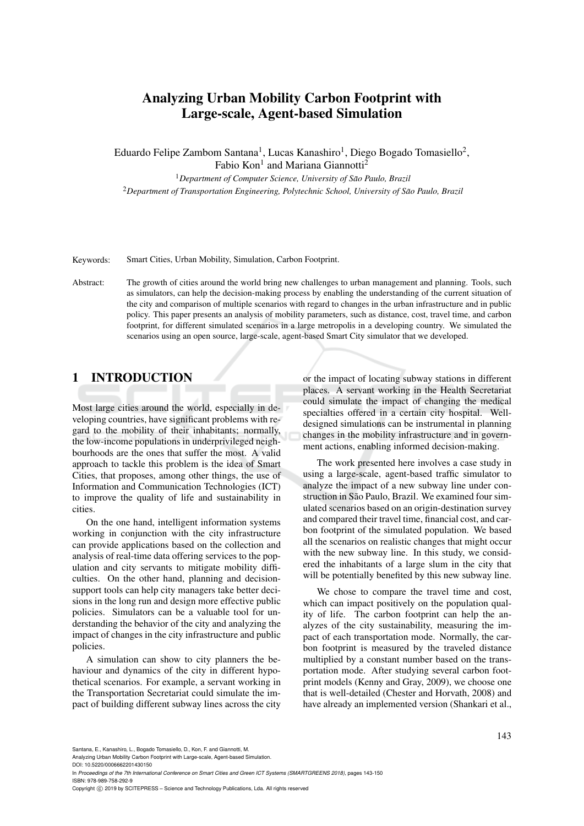# Analyzing Urban Mobility Carbon Footprint with Large-scale, Agent-based Simulation

Eduardo Felipe Zambom Santana<sup>1</sup>, Lucas Kanashiro<sup>1</sup>, Diego Bogado Tomasiello<sup>2</sup>, Fabio Kon<sup>1</sup> and Mariana Giannotti<sup>2</sup>

<sup>1</sup> Department of Computer Science, University of São Paulo, Brazil <sup>2</sup>*Department of Transportation Engineering, Polytechnic School, University of Sao Paulo, Brazil ˜*

Keywords: Smart Cities, Urban Mobility, Simulation, Carbon Footprint.

Abstract: The growth of cities around the world bring new challenges to urban management and planning. Tools, such as simulators, can help the decision-making process by enabling the understanding of the current situation of the city and comparison of multiple scenarios with regard to changes in the urban infrastructure and in public policy. This paper presents an analysis of mobility parameters, such as distance, cost, travel time, and carbon footprint, for different simulated scenarios in a large metropolis in a developing country. We simulated the scenarios using an open source, large-scale, agent-based Smart City simulator that we developed.

## 1 INTRODUCTION

Most large cities around the world, especially in developing countries, have significant problems with regard to the mobility of their inhabitants; normally, the low-income populations in underprivileged neighbourhoods are the ones that suffer the most. A valid approach to tackle this problem is the idea of Smart Cities, that proposes, among other things, the use of Information and Communication Technologies (ICT) to improve the quality of life and sustainability in cities.

On the one hand, intelligent information systems working in conjunction with the city infrastructure can provide applications based on the collection and analysis of real-time data offering services to the population and city servants to mitigate mobility difficulties. On the other hand, planning and decisionsupport tools can help city managers take better decisions in the long run and design more effective public policies. Simulators can be a valuable tool for understanding the behavior of the city and analyzing the impact of changes in the city infrastructure and public policies.

A simulation can show to city planners the behaviour and dynamics of the city in different hypothetical scenarios. For example, a servant working in the Transportation Secretariat could simulate the impact of building different subway lines across the city or the impact of locating subway stations in different places. A servant working in the Health Secretariat could simulate the impact of changing the medical specialties offered in a certain city hospital. Welldesigned simulations can be instrumental in planning changes in the mobility infrastructure and in government actions, enabling informed decision-making.

The work presented here involves a case study in using a large-scale, agent-based traffic simulator to analyze the impact of a new subway line under construction in São Paulo, Brazil. We examined four simulated scenarios based on an origin-destination survey and compared their travel time, financial cost, and carbon footprint of the simulated population. We based all the scenarios on realistic changes that might occur with the new subway line. In this study, we considered the inhabitants of a large slum in the city that will be potentially benefited by this new subway line.

We chose to compare the travel time and cost, which can impact positively on the population quality of life. The carbon footprint can help the analyzes of the city sustainability, measuring the impact of each transportation mode. Normally, the carbon footprint is measured by the traveled distance multiplied by a constant number based on the transportation mode. After studying several carbon footprint models (Kenny and Gray, 2009), we choose one that is well-detailed (Chester and Horvath, 2008) and have already an implemented version (Shankari et al.,

Santana, E., Kanashiro, L., Bogado Tomasiello, D., Kon, F. and Giannotti, M.

Analyzing Urban Mobility Carbon Footprint with Large-scale, Agent-based Simulation.

DOI: 10.5220/0006662201430150 In *Proceedings of the 7th International Conference on Smart Cities and Green ICT Systems (SMARTGREENS 2018)*, pages 143-150 ISBN: 978-989-758-292-9

Copyright © 2019 by SCITEPRESS - Science and Technology Publications, Lda. All rights reserved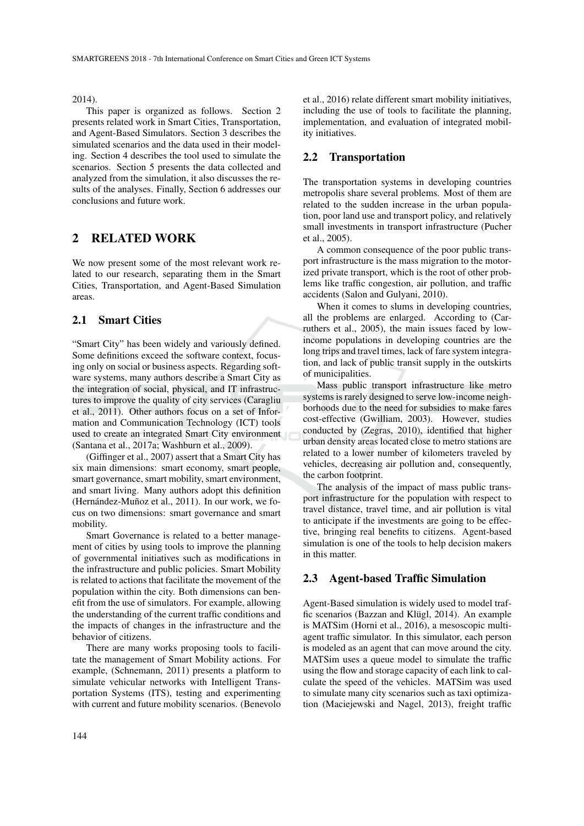2014).

This paper is organized as follows. Section 2 presents related work in Smart Cities, Transportation, and Agent-Based Simulators. Section 3 describes the simulated scenarios and the data used in their modeling. Section 4 describes the tool used to simulate the scenarios. Section 5 presents the data collected and analyzed from the simulation, it also discusses the results of the analyses. Finally, Section 6 addresses our conclusions and future work.

# 2 RELATED WORK

We now present some of the most relevant work related to our research, separating them in the Smart Cities, Transportation, and Agent-Based Simulation areas.

### 2.1 Smart Cities

"Smart City" has been widely and variously defined. Some definitions exceed the software context, focusing only on social or business aspects. Regarding software systems, many authors describe a Smart City as the integration of social, physical, and IT infrastructures to improve the quality of city services (Caragliu et al., 2011). Other authors focus on a set of Information and Communication Technology (ICT) tools used to create an integrated Smart City environment (Santana et al., 2017a; Washburn et al., 2009).

(Giffinger et al., 2007) assert that a Smart City has six main dimensions: smart economy, smart people, smart governance, smart mobility, smart environment, and smart living. Many authors adopt this definition (Hernández-Muñoz et al.,  $2011$ ). In our work, we focus on two dimensions: smart governance and smart mobility.

Smart Governance is related to a better management of cities by using tools to improve the planning of governmental initiatives such as modifications in the infrastructure and public policies. Smart Mobility is related to actions that facilitate the movement of the population within the city. Both dimensions can benefit from the use of simulators. For example, allowing the understanding of the current traffic conditions and the impacts of changes in the infrastructure and the behavior of citizens.

There are many works proposing tools to facilitate the management of Smart Mobility actions. For example, (Schnemann, 2011) presents a platform to simulate vehicular networks with Intelligent Transportation Systems (ITS), testing and experimenting with current and future mobility scenarios. (Benevolo et al., 2016) relate different smart mobility initiatives, including the use of tools to facilitate the planning, implementation, and evaluation of integrated mobility initiatives.

### 2.2 Transportation

The transportation systems in developing countries metropolis share several problems. Most of them are related to the sudden increase in the urban population, poor land use and transport policy, and relatively small investments in transport infrastructure (Pucher et al., 2005).

A common consequence of the poor public transport infrastructure is the mass migration to the motorized private transport, which is the root of other problems like traffic congestion, air pollution, and traffic accidents (Salon and Gulyani, 2010).

When it comes to slums in developing countries, all the problems are enlarged. According to (Carruthers et al., 2005), the main issues faced by lowincome populations in developing countries are the long trips and travel times, lack of fare system integration, and lack of public transit supply in the outskirts of municipalities.

Mass public transport infrastructure like metro systems is rarely designed to serve low-income neighborhoods due to the need for subsidies to make fares cost-effective (Gwilliam, 2003). However, studies conducted by (Zegras, 2010), identified that higher urban density areas located close to metro stations are related to a lower number of kilometers traveled by vehicles, decreasing air pollution and, consequently, the carbon footprint.

The analysis of the impact of mass public transport infrastructure for the population with respect to travel distance, travel time, and air pollution is vital to anticipate if the investments are going to be effective, bringing real benefits to citizens. Agent-based simulation is one of the tools to help decision makers in this matter.

### 2.3 Agent-based Traffic Simulation

Agent-Based simulation is widely used to model traffic scenarios (Bazzan and Klügl, 2014). An example is MATSim (Horni et al., 2016), a mesoscopic multiagent traffic simulator. In this simulator, each person is modeled as an agent that can move around the city. MATSim uses a queue model to simulate the traffic using the flow and storage capacity of each link to calculate the speed of the vehicles. MATSim was used to simulate many city scenarios such as taxi optimization (Maciejewski and Nagel, 2013), freight traffic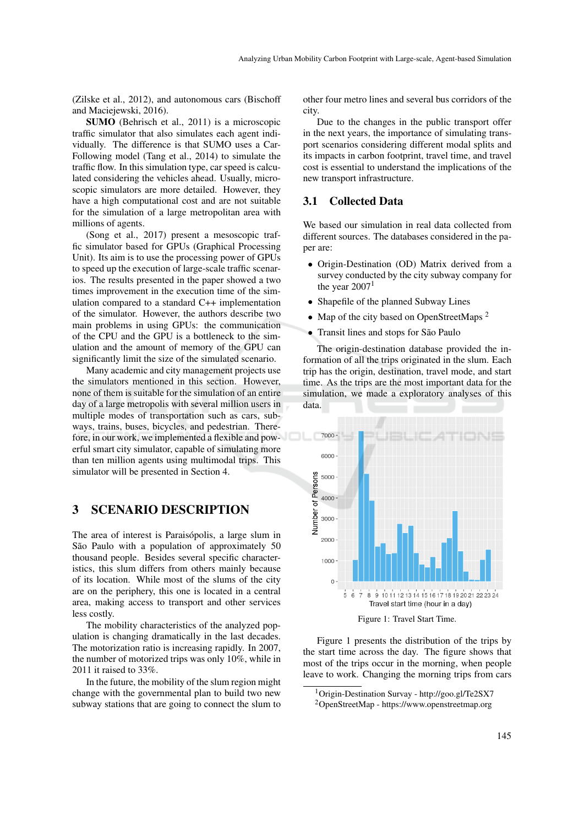(Zilske et al., 2012), and autonomous cars (Bischoff and Maciejewski, 2016).

SUMO (Behrisch et al., 2011) is a microscopic traffic simulator that also simulates each agent individually. The difference is that SUMO uses a Car-Following model (Tang et al., 2014) to simulate the traffic flow. In this simulation type, car speed is calculated considering the vehicles ahead. Usually, microscopic simulators are more detailed. However, they have a high computational cost and are not suitable for the simulation of a large metropolitan area with millions of agents.

(Song et al., 2017) present a mesoscopic traffic simulator based for GPUs (Graphical Processing Unit). Its aim is to use the processing power of GPUs to speed up the execution of large-scale traffic scenarios. The results presented in the paper showed a two times improvement in the execution time of the simulation compared to a standard C++ implementation of the simulator. However, the authors describe two main problems in using GPUs: the communication of the CPU and the GPU is a bottleneck to the simulation and the amount of memory of the GPU can significantly limit the size of the simulated scenario.

Many academic and city management projects use the simulators mentioned in this section. However, none of them is suitable for the simulation of an entire day of a large metropolis with several million users in multiple modes of transportation such as cars, subways, trains, buses, bicycles, and pedestrian. Therefore, in our work, we implemented a flexible and powerful smart city simulator, capable of simulating more than ten million agents using multimodal trips. This simulator will be presented in Section 4.

### 3 SCENARIO DESCRIPTION

The area of interest is Paraisópolis, a large slum in São Paulo with a population of approximately 50 thousand people. Besides several specific characteristics, this slum differs from others mainly because of its location. While most of the slums of the city are on the periphery, this one is located in a central area, making access to transport and other services less costly.

The mobility characteristics of the analyzed population is changing dramatically in the last decades. The motorization ratio is increasing rapidly. In 2007, the number of motorized trips was only 10%, while in 2011 it raised to 33%.

In the future, the mobility of the slum region might change with the governmental plan to build two new subway stations that are going to connect the slum to other four metro lines and several bus corridors of the city.

Due to the changes in the public transport offer in the next years, the importance of simulating transport scenarios considering different modal splits and its impacts in carbon footprint, travel time, and travel cost is essential to understand the implications of the new transport infrastructure.

### 3.1 Collected Data

We based our simulation in real data collected from different sources. The databases considered in the paper are:

- Origin-Destination (OD) Matrix derived from a survey conducted by the city subway company for the year  $2007<sup>1</sup>$
- Shapefile of the planned Subway Lines
- Map of the city based on OpenStreetMaps  $^2$
- Transit lines and stops for São Paulo

The origin-destination database provided the information of all the trips originated in the slum. Each trip has the origin, destination, travel mode, and start time. As the trips are the most important data for the simulation, we made a exploratory analyses of this data.



Figure 1 presents the distribution of the trips by the start time across the day. The figure shows that

most of the trips occur in the morning, when people leave to work. Changing the morning trips from cars

<sup>1</sup>Origin-Destination Survay - http://goo.gl/Te2SX7  $^{2}$ OpenStreetMap - https://www.openstreetmap.org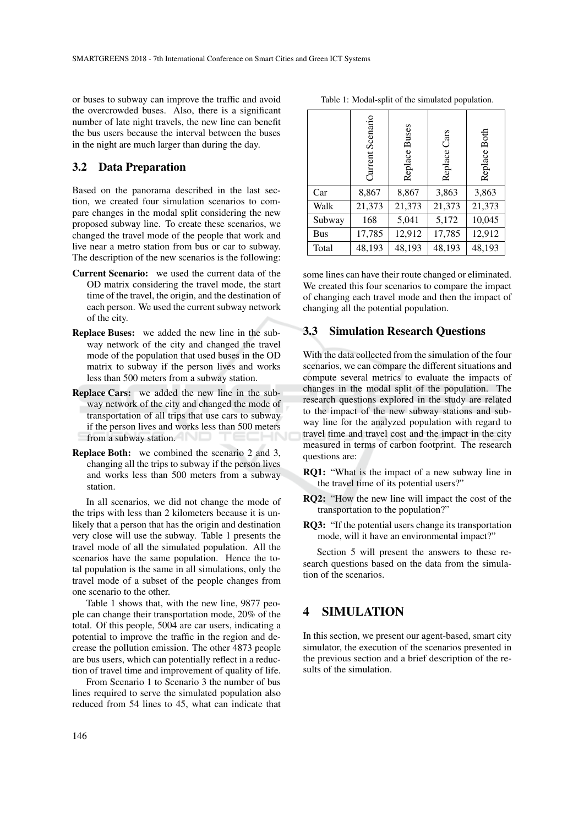or buses to subway can improve the traffic and avoid the overcrowded buses. Also, there is a significant number of late night travels, the new line can benefit the bus users because the interval between the buses in the night are much larger than during the day.

### 3.2 Data Preparation

Based on the panorama described in the last section, we created four simulation scenarios to compare changes in the modal split considering the new proposed subway line. To create these scenarios, we changed the travel mode of the people that work and live near a metro station from bus or car to subway. The description of the new scenarios is the following:

- Current Scenario: we used the current data of the OD matrix considering the travel mode, the start time of the travel, the origin, and the destination of each person. We used the current subway network of the city.
- Replace Buses: we added the new line in the subway network of the city and changed the travel mode of the population that used buses in the OD matrix to subway if the person lives and works less than 500 meters from a subway station.
- Replace Cars: we added the new line in the subway network of the city and changed the mode of transportation of all trips that use cars to subway if the person lives and works less than 500 meters from a subway station.
- Replace Both: we combined the scenario 2 and 3, changing all the trips to subway if the person lives and works less than 500 meters from a subway station.

In all scenarios, we did not change the mode of the trips with less than 2 kilometers because it is unlikely that a person that has the origin and destination very close will use the subway. Table 1 presents the travel mode of all the simulated population. All the scenarios have the same population. Hence the total population is the same in all simulations, only the travel mode of a subset of the people changes from one scenario to the other.

Table 1 shows that, with the new line, 9877 people can change their transportation mode, 20% of the total. Of this people, 5004 are car users, indicating a potential to improve the traffic in the region and decrease the pollution emission. The other 4873 people are bus users, which can potentially reflect in a reduction of travel time and improvement of quality of life.

From Scenario 1 to Scenario 3 the number of bus lines required to serve the simulated population also reduced from 54 lines to 45, what can indicate that

|            | Current Scenario | Replace Buses | Replace Cars | Replace Both |
|------------|------------------|---------------|--------------|--------------|
| Car        | 8,867            | 8,867         | 3,863        | 3,863        |
| Walk       | 21,373           | 21,373        | 21,373       | 21,373       |
| Subway     | 168              | 5,041         | 5,172        | 10,045       |
| <b>Bus</b> | 17,785           | 12,912        | 17,785       | 12,912       |
| Total      | 48,193           | 48,193        | 48,193       | 48,193       |

Table 1: Modal-split of the simulated population.

some lines can have their route changed or eliminated. We created this four scenarios to compare the impact of changing each travel mode and then the impact of changing all the potential population.

#### 3.3 Simulation Research Questions

With the data collected from the simulation of the four scenarios, we can compare the different situations and compute several metrics to evaluate the impacts of changes in the modal split of the population. The research questions explored in the study are related to the impact of the new subway stations and subway line for the analyzed population with regard to travel time and travel cost and the impact in the city measured in terms of carbon footprint. The research questions are:

- RQ1: "What is the impact of a new subway line in the travel time of its potential users?"
- RQ2: "How the new line will impact the cost of the transportation to the population?"
- RQ3: "If the potential users change its transportation mode, will it have an environmental impact?"

Section 5 will present the answers to these research questions based on the data from the simulation of the scenarios.

### 4 SIMULATION

In this section, we present our agent-based, smart city simulator, the execution of the scenarios presented in the previous section and a brief description of the results of the simulation.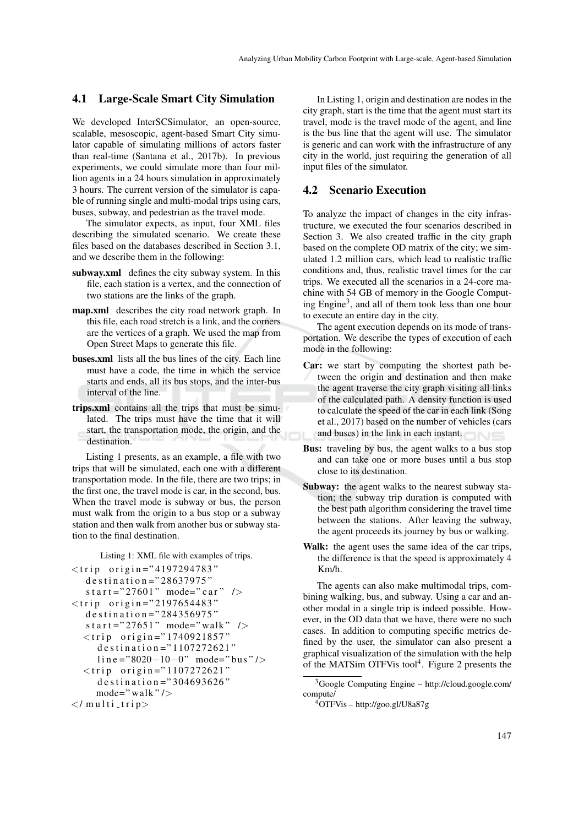#### 4.1 Large-Scale Smart City Simulation

We developed InterSCSimulator, an open-source, scalable, mesoscopic, agent-based Smart City simulator capable of simulating millions of actors faster than real-time (Santana et al., 2017b). In previous experiments, we could simulate more than four million agents in a 24 hours simulation in approximately 3 hours. The current version of the simulator is capable of running single and multi-modal trips using cars, buses, subway, and pedestrian as the travel mode.

The simulator expects, as input, four XML files describing the simulated scenario. We create these files based on the databases described in Section 3.1, and we describe them in the following:

- subway.xml defines the city subway system. In this file, each station is a vertex, and the connection of two stations are the links of the graph.
- map.xml describes the city road network graph. In this file, each road stretch is a link, and the corners are the vertices of a graph. We used the map from Open Street Maps to generate this file.
- buses.xml lists all the bus lines of the city. Each line must have a code, the time in which the service starts and ends, all its bus stops, and the inter-bus interval of the line.
- trips.xml contains all the trips that must be simulated. The trips must have the time that it will start, the transportation mode, the origin, and the destination.

Listing 1 presents, as an example, a file with two trips that will be simulated, each one with a different transportation mode. In the file, there are two trips; in the first one, the travel mode is car, in the second, bus. When the travel mode is subway or bus, the person must walk from the origin to a bus stop or a subway station and then walk from another bus or subway station to the final destination.

#### Listing 1: XML file with examples of trips.

```
<trip origin="4197294783"
   destination = "28637975"
   s t a r t = "27601" mode=" c a r " />
<trip origin="2197654483"
   d e s t i n a t i o n = " 284356975"
   st a r t = "27651" mode=" walk " />
  <trip origin = "1740921857"
     d e s t i n a t i o n = " 1107272621"
     \ln e ="8020-10-0" mode="bus" />
  <trip origin="1107272621"
     d e stination ="304693626"
     mode="\text{walk}" />
\langle/ multi_trip>
```
In Listing 1, origin and destination are nodes in the city graph, start is the time that the agent must start its travel, mode is the travel mode of the agent, and line is the bus line that the agent will use. The simulator is generic and can work with the infrastructure of any city in the world, just requiring the generation of all input files of the simulator.

#### 4.2 Scenario Execution

To analyze the impact of changes in the city infrastructure, we executed the four scenarios described in Section 3. We also created traffic in the city graph based on the complete OD matrix of the city; we simulated 1.2 million cars, which lead to realistic traffic conditions and, thus, realistic travel times for the car trips. We executed all the scenarios in a 24-core machine with 54 GB of memory in the Google Computing Engine<sup>3</sup>, and all of them took less than one hour to execute an entire day in the city.

The agent execution depends on its mode of transportation. We describe the types of execution of each mode in the following:

- Car: we start by computing the shortest path between the origin and destination and then make the agent traverse the city graph visiting all links of the calculated path. A density function is used to calculate the speed of the car in each link (Song et al., 2017) based on the number of vehicles (cars and buses) in the link in each instant.
- Bus: traveling by bus, the agent walks to a bus stop and can take one or more buses until a bus stop close to its destination.
- Subway: the agent walks to the nearest subway station; the subway trip duration is computed with the best path algorithm considering the travel time between the stations. After leaving the subway, the agent proceeds its journey by bus or walking.
- Walk: the agent uses the same idea of the car trips, the difference is that the speed is approximately 4 Km/h.

The agents can also make multimodal trips, combining walking, bus, and subway. Using a car and another modal in a single trip is indeed possible. However, in the OD data that we have, there were no such cases. In addition to computing specific metrics defined by the user, the simulator can also present a graphical visualization of the simulation with the help of the MATSim OTFVis tool<sup>4</sup>. Figure 2 presents the

<sup>3</sup>Google Computing Engine – http://cloud.google.com/ compute/

 $^{4}$ OTFVis – http://goo.gl/U8a87g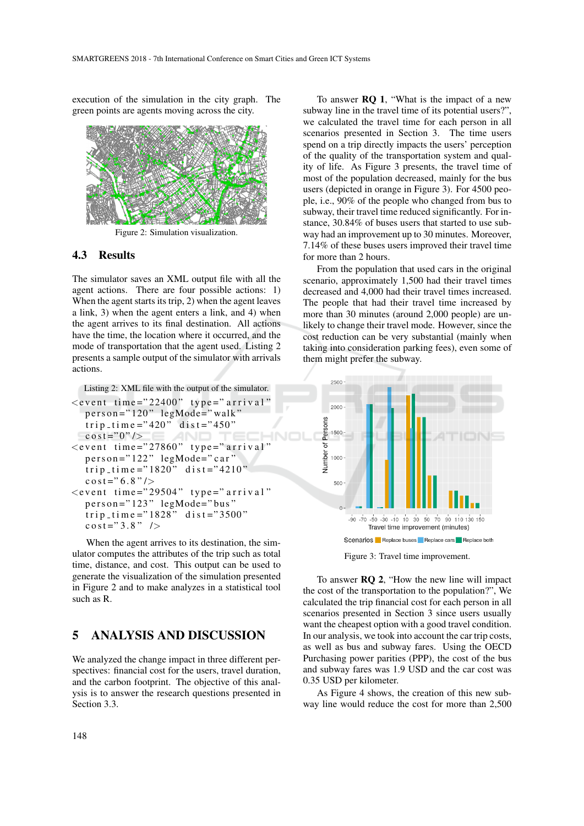execution of the simulation in the city graph. The green points are agents moving across the city.



Figure 2: Simulation visualization.

### 4.3 Results

The simulator saves an XML output file with all the agent actions. There are four possible actions: 1) When the agent starts its trip, 2) when the agent leaves a link, 3) when the agent enters a link, and 4) when the agent arrives to its final destination. All actions have the time, the location where it occurred, and the mode of transportation that the agent used. Listing 2 presents a sample output of the simulator with arrivals actions.

Listing 2: XML file with the output of the simulator.

```
\leevent time="22400" type="arrival"
  person="120" legMode="walk'
  trip_time="420" dist="450'
  \cos t = 0" />
\lee v e n t time = "27860" type = " arrival"
  person="122" legMode="car"
  trip_time="1820" dist="4210"
  \cos t = "6.8"/>
\lee v e nt time = "29504" type = " arrival"
  person="123" legMode="bus"
  trip_t im e = "1828" d is t = "3500"\cos t = "3.8" />
```
When the agent arrives to its destination, the simulator computes the attributes of the trip such as total time, distance, and cost. This output can be used to generate the visualization of the simulation presented in Figure 2 and to make analyzes in a statistical tool such as R.

### 5 ANALYSIS AND DISCUSSION

We analyzed the change impact in three different perspectives: financial cost for the users, travel duration, and the carbon footprint. The objective of this analysis is to answer the research questions presented in Section 3.3.

To answer RQ 1, "What is the impact of a new subway line in the travel time of its potential users?", we calculated the travel time for each person in all scenarios presented in Section 3. The time users spend on a trip directly impacts the users' perception of the quality of the transportation system and quality of life. As Figure 3 presents, the travel time of most of the population decreased, mainly for the bus users (depicted in orange in Figure 3). For 4500 people, i.e., 90% of the people who changed from bus to subway, their travel time reduced significantly. For instance, 30.84% of buses users that started to use subway had an improvement up to 30 minutes. Moreover, 7.14% of these buses users improved their travel time for more than 2 hours.

From the population that used cars in the original scenario, approximately 1,500 had their travel times decreased and 4,000 had their travel times increased. The people that had their travel time increased by more than 30 minutes (around 2,000 people) are unlikely to change their travel mode. However, since the cost reduction can be very substantial (mainly when taking into consideration parking fees), even some of them might prefer the subway.



Figure 3: Travel time improvement.

To answer RQ 2, "How the new line will impact the cost of the transportation to the population?", We calculated the trip financial cost for each person in all scenarios presented in Section 3 since users usually want the cheapest option with a good travel condition. In our analysis, we took into account the car trip costs, as well as bus and subway fares. Using the OECD Purchasing power parities (PPP), the cost of the bus and subway fares was 1.9 USD and the car cost was 0.35 USD per kilometer.

As Figure 4 shows, the creation of this new subway line would reduce the cost for more than 2,500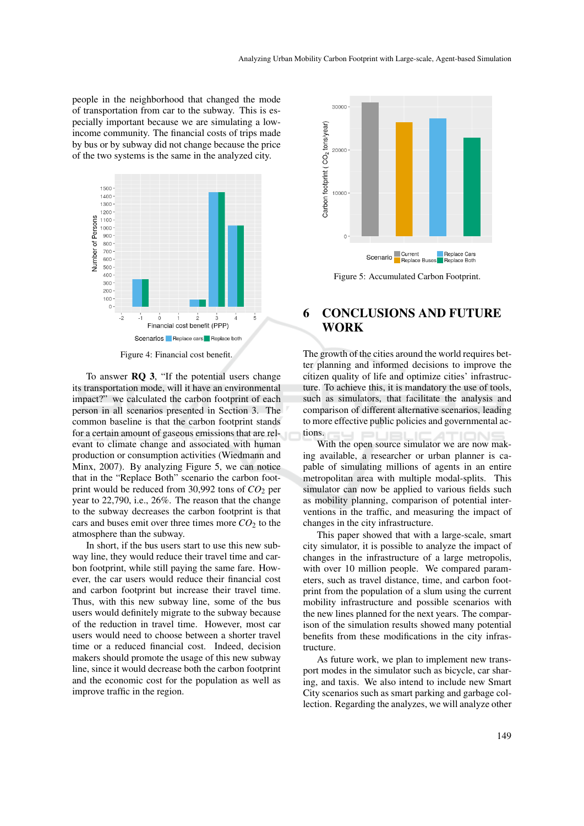people in the neighborhood that changed the mode of transportation from car to the subway. This is especially important because we are simulating a lowincome community. The financial costs of trips made by bus or by subway did not change because the price of the two systems is the same in the analyzed city.



Figure 4: Financial cost benefit.

To answer RQ 3, "If the potential users change its transportation mode, will it have an environmental impact?" we calculated the carbon footprint of each person in all scenarios presented in Section 3. The common baseline is that the carbon footprint stands for a certain amount of gaseous emissions that are relevant to climate change and associated with human production or consumption activities (Wiedmann and Minx, 2007). By analyzing Figure 5, we can notice that in the "Replace Both" scenario the carbon footprint would be reduced from  $30,992$  tons of  $CO<sub>2</sub>$  per year to 22,790, i.e., 26%. The reason that the change to the subway decreases the carbon footprint is that cars and buses emit over three times more  $CO<sub>2</sub>$  to the atmosphere than the subway.

In short, if the bus users start to use this new subway line, they would reduce their travel time and carbon footprint, while still paying the same fare. However, the car users would reduce their financial cost and carbon footprint but increase their travel time. Thus, with this new subway line, some of the bus users would definitely migrate to the subway because of the reduction in travel time. However, most car users would need to choose between a shorter travel time or a reduced financial cost. Indeed, decision makers should promote the usage of this new subway line, since it would decrease both the carbon footprint and the economic cost for the population as well as improve traffic in the region.



Figure 5: Accumulated Carbon Footprint.

# 6 CONCLUSIONS AND FUTURE WORK

The growth of the cities around the world requires better planning and informed decisions to improve the citizen quality of life and optimize cities' infrastructure. To achieve this, it is mandatory the use of tools, such as simulators, that facilitate the analysis and comparison of different alternative scenarios, leading to more effective public policies and governmental actions.

With the open source simulator we are now making available, a researcher or urban planner is capable of simulating millions of agents in an entire metropolitan area with multiple modal-splits. This simulator can now be applied to various fields such as mobility planning, comparison of potential interventions in the traffic, and measuring the impact of changes in the city infrastructure.

This paper showed that with a large-scale, smart city simulator, it is possible to analyze the impact of changes in the infrastructure of a large metropolis, with over 10 million people. We compared parameters, such as travel distance, time, and carbon footprint from the population of a slum using the current mobility infrastructure and possible scenarios with the new lines planned for the next years. The comparison of the simulation results showed many potential benefits from these modifications in the city infrastructure.

As future work, we plan to implement new transport modes in the simulator such as bicycle, car sharing, and taxis. We also intend to include new Smart City scenarios such as smart parking and garbage collection. Regarding the analyzes, we will analyze other